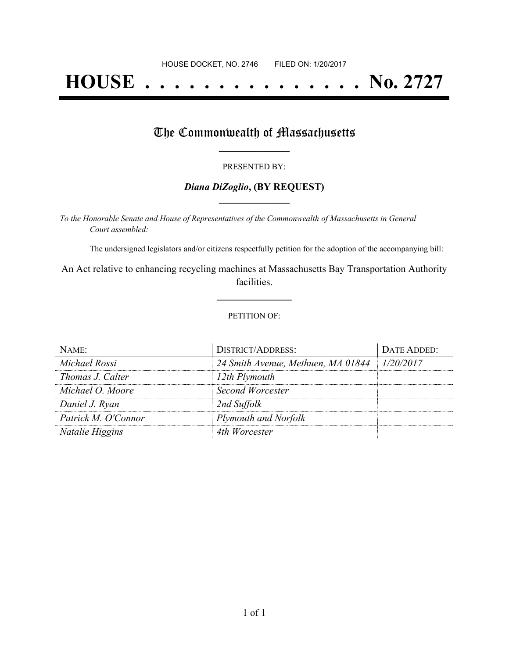# **HOUSE . . . . . . . . . . . . . . . No. 2727**

## The Commonwealth of Massachusetts

#### PRESENTED BY:

#### *Diana DiZoglio***, (BY REQUEST) \_\_\_\_\_\_\_\_\_\_\_\_\_\_\_\_\_**

*To the Honorable Senate and House of Representatives of the Commonwealth of Massachusetts in General Court assembled:*

The undersigned legislators and/or citizens respectfully petition for the adoption of the accompanying bill:

An Act relative to enhancing recycling machines at Massachusetts Bay Transportation Authority facilities.

**\_\_\_\_\_\_\_\_\_\_\_\_\_\_\_**

#### PETITION OF:

| NAME:               | <b>DISTRICT/ADDRESS:</b>           | DATE ADDED: |
|---------------------|------------------------------------|-------------|
| Michael Rossi       | 24 Smith Avenue, Methuen, MA 01844 | 1/20/2017   |
| Thomas J. Calter    | 12th Plymouth                      |             |
| Michael O. Moore    | Second Worcester                   |             |
| Daniel J. Ryan      | 2nd Suffolk                        |             |
| Patrick M. O'Connor | Plymouth and Norfolk               |             |
| Natalie Higgins     | 4th Worcester                      |             |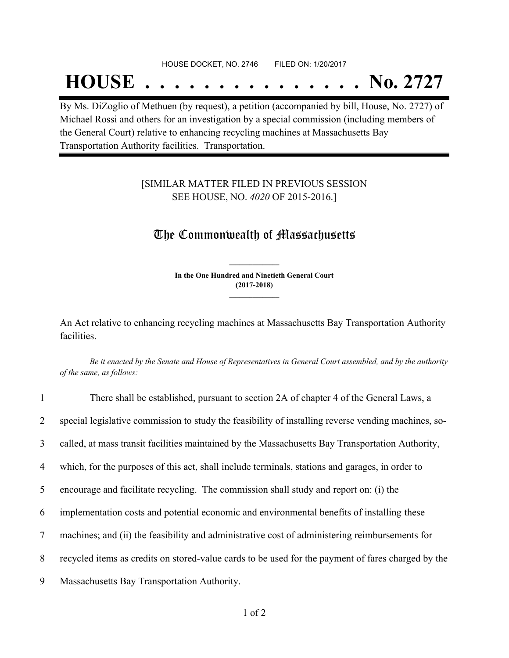#### HOUSE DOCKET, NO. 2746 FILED ON: 1/20/2017

## **HOUSE . . . . . . . . . . . . . . . No. 2727**

By Ms. DiZoglio of Methuen (by request), a petition (accompanied by bill, House, No. 2727) of Michael Rossi and others for an investigation by a special commission (including members of the General Court) relative to enhancing recycling machines at Massachusetts Bay Transportation Authority facilities. Transportation.

### [SIMILAR MATTER FILED IN PREVIOUS SESSION SEE HOUSE, NO. *4020* OF 2015-2016.]

### The Commonwealth of Massachusetts

**In the One Hundred and Ninetieth General Court (2017-2018) \_\_\_\_\_\_\_\_\_\_\_\_\_\_\_**

**\_\_\_\_\_\_\_\_\_\_\_\_\_\_\_**

An Act relative to enhancing recycling machines at Massachusetts Bay Transportation Authority facilities.

Be it enacted by the Senate and House of Representatives in General Court assembled, and by the authority *of the same, as follows:*

| $\mathbf{1}$   | There shall be established, pursuant to section 2A of chapter 4 of the General Laws, a              |
|----------------|-----------------------------------------------------------------------------------------------------|
| $\overline{2}$ | special legislative commission to study the feasibility of installing reverse vending machines, so- |
| 3              | called, at mass transit facilities maintained by the Massachusetts Bay Transportation Authority,    |
| $\overline{4}$ | which, for the purposes of this act, shall include terminals, stations and garages, in order to     |
| 5              | encourage and facilitate recycling. The commission shall study and report on: (i) the               |
| 6              | implementation costs and potential economic and environmental benefits of installing these          |
| $\tau$         | machines; and (ii) the feasibility and administrative cost of administering reimbursements for      |
| 8              | recycled items as credits on stored-value cards to be used for the payment of fares charged by the  |
| 9              | Massachusetts Bay Transportation Authority.                                                         |